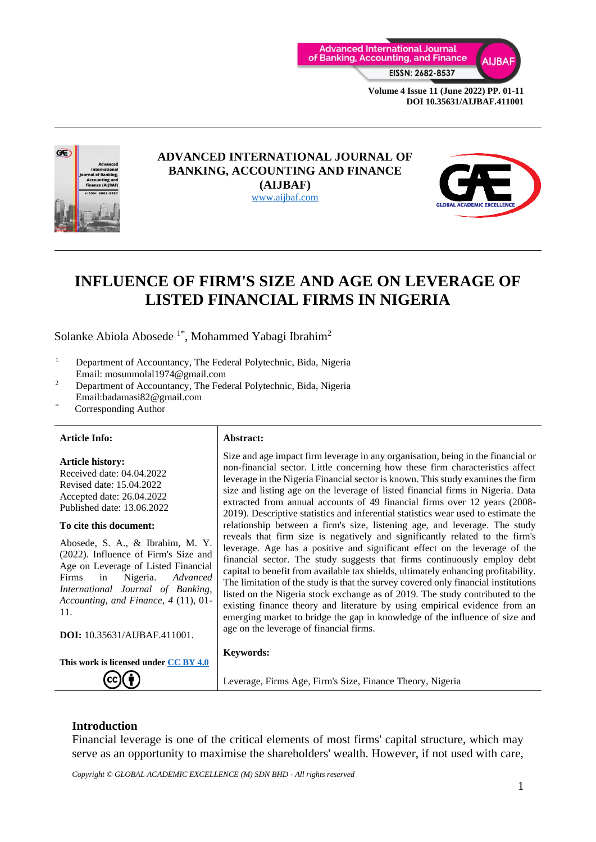



#### **ADVANCED INTERNATIONAL JOURNAL OF BANKING, ACCOUNTING AND FINANCE (AIJBAF)** [www.aijbaf.com](http://www.aijbaf.com/)



# **INFLUENCE OF FIRM'S SIZE AND AGE ON LEVERAGE OF LISTED FINANCIAL FIRMS IN NIGERIA**

Solanke Abiola Abosede  $1^*$ , Mohammed Yabagi Ibrahim<sup>2</sup>

- <sup>1</sup> Department of Accountancy, The Federal Polytechnic, Bida, Nigeria Email: mosunmolal1974@gmail.com
- <sup>2</sup> Department of Accountancy, The Federal Polytechnic, Bida, Nigeria Email:badamasi82@gmail.com
- Corresponding Author

#### **Article Info: Abstract:**

**Article history:** Received date: 04.04.2022 Revised date: 15.04.2022 Accepted date: 26.04.2022 Published date: 13.06.2022

#### **To cite this document:**

Abosede, S. A., & Ibrahim, M. Y. (2022). Influence of Firm's Size and Age on Leverage of Listed Financial Firms in Nigeria. *Advanced International Journal of Banking, Accounting, and Finance, 4* (11), 01- 11.

**DOI:** 10.35631/AIJBAF.411001.

**This work is licensed under [CC BY 4.0](https://creativecommons.org/licenses/by/4.0/?ref=chooser-v1)**

Size and age impact firm leverage in any organisation, being in the financial or non-financial sector. Little concerning how these firm characteristics affect leverage in the Nigeria Financial sector is known. This study examines the firm size and listing age on the leverage of listed financial firms in Nigeria. Data extracted from annual accounts of 49 financial firms over 12 years (2008- 2019). Descriptive statistics and inferential statistics wear used to estimate the relationship between a firm's size, listening age, and leverage. The study reveals that firm size is negatively and significantly related to the firm's leverage. Age has a positive and significant effect on the leverage of the financial sector. The study suggests that firms continuously employ debt capital to benefit from available tax shields, ultimately enhancing profitability. The limitation of the study is that the survey covered only financial institutions listed on the Nigeria stock exchange as of 2019. The study contributed to the existing finance theory and literature by using empirical evidence from an emerging market to bridge the gap in knowledge of the influence of size and age on the leverage of financial firms.

#### **Keywords:**

Leverage, Firms Age, Firm's Size, Finance Theory, Nigeria

#### **Introduction**

Financial leverage is one of the critical elements of most firms' capital structure, which may serve as an opportunity to maximise the shareholders' wealth. However, if not used with care,

*Copyright © GLOBAL ACADEMIC EXCELLENCE (M) SDN BHD - All rights reserved*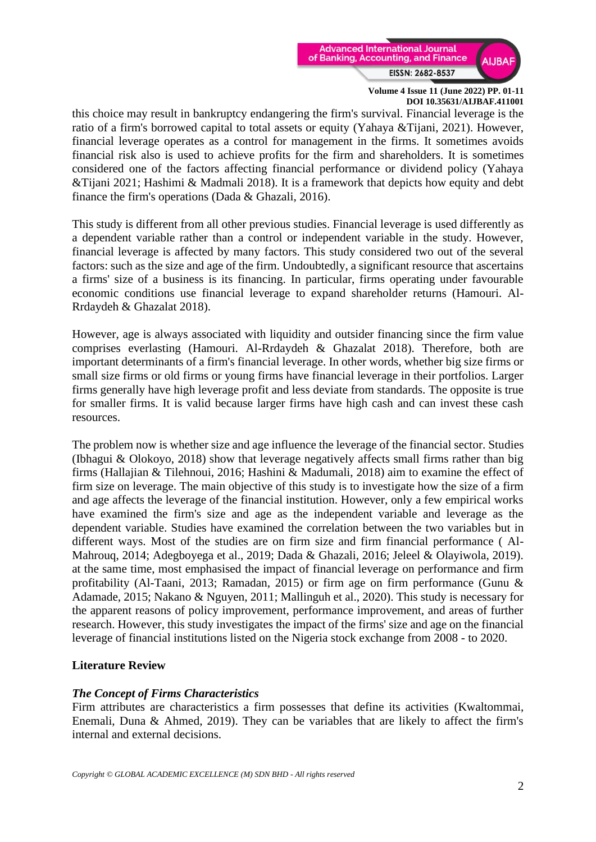

this choice may result in bankruptcy endangering the firm's survival. Financial leverage is the ratio of a firm's borrowed capital to total assets or equity (Yahaya &Tijani, 2021). However, financial leverage operates as a control for management in the firms. It sometimes avoids financial risk also is used to achieve profits for the firm and shareholders. It is sometimes considered one of the factors affecting financial performance or dividend policy (Yahaya &Tijani 2021; Hashimi & Madmali 2018). It is a framework that depicts how equity and debt finance the firm's operations (Dada & Ghazali, 2016).

This study is different from all other previous studies. Financial leverage is used differently as a dependent variable rather than a control or independent variable in the study. However, financial leverage is affected by many factors. This study considered two out of the several factors: such as the size and age of the firm. Undoubtedly, a significant resource that ascertains a firms' size of a business is its financing. In particular, firms operating under favourable economic conditions use financial leverage to expand shareholder returns (Hamouri. Al-Rrdaydeh & Ghazalat 2018).

However, age is always associated with liquidity and outsider financing since the firm value comprises everlasting (Hamouri. Al-Rrdaydeh & Ghazalat 2018). Therefore, both are important determinants of a firm's financial leverage. In other words, whether big size firms or small size firms or old firms or young firms have financial leverage in their portfolios. Larger firms generally have high leverage profit and less deviate from standards. The opposite is true for smaller firms. It is valid because larger firms have high cash and can invest these cash resources.

The problem now is whether size and age influence the leverage of the financial sector. Studies (Ibhagui & Olokoyo, 2018) show that leverage negatively affects small firms rather than big firms (Hallajian & Tilehnoui, 2016; Hashini & Madumali, 2018) aim to examine the effect of firm size on leverage. The main objective of this study is to investigate how the size of a firm and age affects the leverage of the financial institution. However, only a few empirical works have examined the firm's size and age as the independent variable and leverage as the dependent variable. Studies have examined the correlation between the two variables but in different ways. Most of the studies are on firm size and firm financial performance ( Al-Mahrouq, 2014; Adegboyega et al., 2019; Dada & Ghazali, 2016; Jeleel & Olayiwola, 2019). at the same time, most emphasised the impact of financial leverage on performance and firm profitability (Al-Taani, 2013; Ramadan, 2015) or firm age on firm performance (Gunu & Adamade, 2015; Nakano & Nguyen, 2011; Mallinguh et al., 2020). This study is necessary for the apparent reasons of policy improvement, performance improvement, and areas of further research. However, this study investigates the impact of the firms' size and age on the financial leverage of financial institutions listed on the Nigeria stock exchange from 2008 - to 2020.

## **Literature Review**

## *The Concept of Firms Characteristics*

Firm attributes are characteristics a firm possesses that define its activities (Kwaltommai, Enemali, Duna & Ahmed, 2019). They can be variables that are likely to affect the firm's internal and external decisions.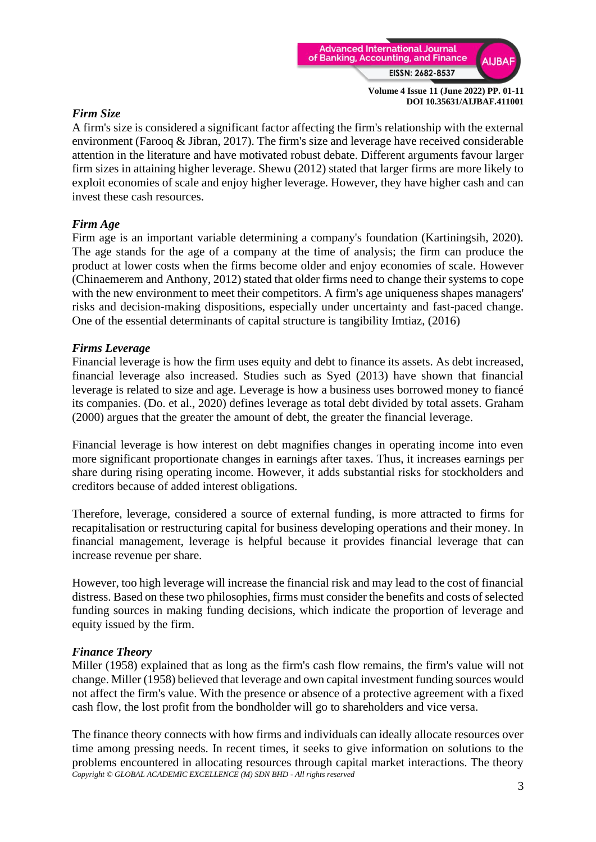

## *Firm Size*

A firm's size is considered a significant factor affecting the firm's relationship with the external environment (Farooq & Jibran, 2017). The firm's size and leverage have received considerable attention in the literature and have motivated robust debate. Different arguments favour larger firm sizes in attaining higher leverage. Shewu (2012) stated that larger firms are more likely to exploit economies of scale and enjoy higher leverage. However, they have higher cash and can invest these cash resources.

### *Firm Age*

Firm age is an important variable determining a company's foundation (Kartiningsih, 2020). The age stands for the age of a company at the time of analysis; the firm can produce the product at lower costs when the firms become older and enjoy economies of scale. However (Chinaemerem and Anthony, 2012) stated that older firms need to change their systems to cope with the new environment to meet their competitors. A firm's age uniqueness shapes managers' risks and decision-making dispositions, especially under uncertainty and fast-paced change. One of the essential determinants of capital structure is tangibility Imtiaz, (2016)

#### *Firms Leverage*

Financial leverage is how the firm uses equity and debt to finance its assets. As debt increased, financial leverage also increased. Studies such as Syed (2013) have shown that financial leverage is related to size and age. Leverage is how a business uses borrowed money to fiancé its companies. (Do. et al., 2020) defines leverage as total debt divided by total assets. Graham (2000) argues that the greater the amount of debt, the greater the financial leverage.

Financial leverage is how interest on debt magnifies changes in operating income into even more significant proportionate changes in earnings after taxes. Thus, it increases earnings per share during rising operating income. However, it adds substantial risks for stockholders and creditors because of added interest obligations.

Therefore, leverage, considered a source of external funding, is more attracted to firms for recapitalisation or restructuring capital for business developing operations and their money. In financial management, leverage is helpful because it provides financial leverage that can increase revenue per share.

However, too high leverage will increase the financial risk and may lead to the cost of financial distress. Based on these two philosophies, firms must consider the benefits and costs of selected funding sources in making funding decisions, which indicate the proportion of leverage and equity issued by the firm.

#### *Finance Theory*

Miller (1958) explained that as long as the firm's cash flow remains, the firm's value will not change. Miller (1958) believed that leverage and own capital investment funding sources would not affect the firm's value. With the presence or absence of a protective agreement with a fixed cash flow, the lost profit from the bondholder will go to shareholders and vice versa.

*Copyright © GLOBAL ACADEMIC EXCELLENCE (M) SDN BHD - All rights reserved* The finance theory connects with how firms and individuals can ideally allocate resources over time among pressing needs. In recent times, it seeks to give information on solutions to the problems encountered in allocating resources through capital market interactions. The theory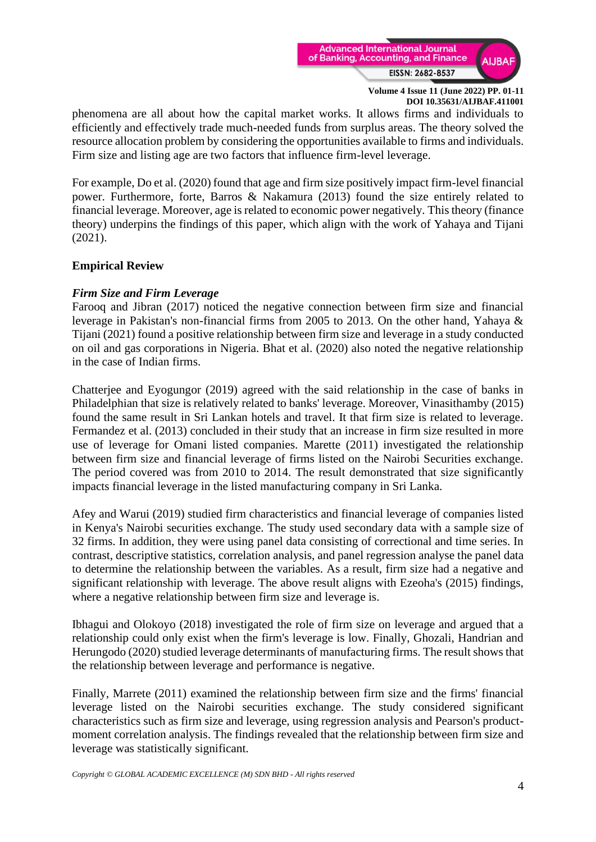

phenomena are all about how the capital market works. It allows firms and individuals to efficiently and effectively trade much-needed funds from surplus areas. The theory solved the resource allocation problem by considering the opportunities available to firms and individuals. Firm size and listing age are two factors that influence firm-level leverage.

For example, Do et al. (2020) found that age and firm size positively impact firm-level financial power. Furthermore, forte, Barros & Nakamura (2013) found the size entirely related to financial leverage. Moreover, age is related to economic power negatively. This theory (finance theory) underpins the findings of this paper, which align with the work of Yahaya and Tijani (2021).

## **Empirical Review**

## *Firm Size and Firm Leverage*

Farooq and Jibran (2017) noticed the negative connection between firm size and financial leverage in Pakistan's non-financial firms from 2005 to 2013. On the other hand, Yahaya & Tijani (2021) found a positive relationship between firm size and leverage in a study conducted on oil and gas corporations in Nigeria. Bhat et al. (2020) also noted the negative relationship in the case of Indian firms.

Chatterjee and Eyogungor (2019) agreed with the said relationship in the case of banks in Philadelphian that size is relatively related to banks' leverage. Moreover, Vinasithamby (2015) found the same result in Sri Lankan hotels and travel. It that firm size is related to leverage. Fermandez et al. (2013) concluded in their study that an increase in firm size resulted in more use of leverage for Omani listed companies. Marette (2011) investigated the relationship between firm size and financial leverage of firms listed on the Nairobi Securities exchange. The period covered was from 2010 to 2014. The result demonstrated that size significantly impacts financial leverage in the listed manufacturing company in Sri Lanka.

Afey and Warui (2019) studied firm characteristics and financial leverage of companies listed in Kenya's Nairobi securities exchange. The study used secondary data with a sample size of 32 firms. In addition, they were using panel data consisting of correctional and time series. In contrast, descriptive statistics, correlation analysis, and panel regression analyse the panel data to determine the relationship between the variables. As a result, firm size had a negative and significant relationship with leverage. The above result aligns with Ezeoha's (2015) findings, where a negative relationship between firm size and leverage is.

Ibhagui and Olokoyo (2018) investigated the role of firm size on leverage and argued that a relationship could only exist when the firm's leverage is low. Finally, Ghozali, Handrian and Herungodo (2020) studied leverage determinants of manufacturing firms. The result shows that the relationship between leverage and performance is negative.

Finally, Marrete (2011) examined the relationship between firm size and the firms' financial leverage listed on the Nairobi securities exchange. The study considered significant characteristics such as firm size and leverage, using regression analysis and Pearson's productmoment correlation analysis. The findings revealed that the relationship between firm size and leverage was statistically significant.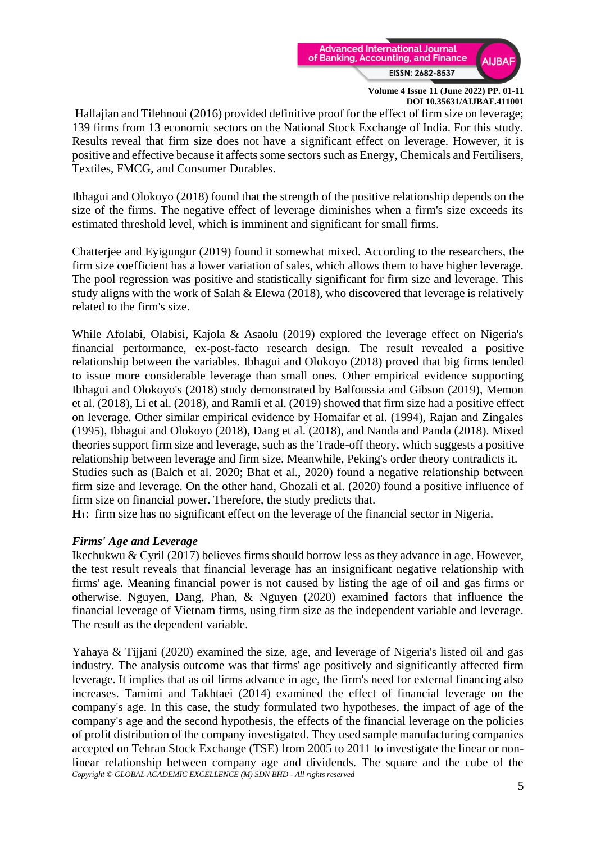

Hallajian and Tilehnoui (2016) provided definitive proof for the effect of firm size on leverage; 139 firms from 13 economic sectors on the National Stock Exchange of India. For this study. Results reveal that firm size does not have a significant effect on leverage. However, it is positive and effective because it affects some sectors such as Energy, Chemicals and Fertilisers, Textiles, FMCG, and Consumer Durables.

Ibhagui and Olokoyo (2018) found that the strength of the positive relationship depends on the size of the firms. The negative effect of leverage diminishes when a firm's size exceeds its estimated threshold level, which is imminent and significant for small firms.

Chatterjee and Eyigungur (2019) found it somewhat mixed. According to the researchers, the firm size coefficient has a lower variation of sales, which allows them to have higher leverage. The pool regression was positive and statistically significant for firm size and leverage. This study aligns with the work of Salah & Elewa (2018), who discovered that leverage is relatively related to the firm's size.

While Afolabi, Olabisi, Kajola & Asaolu (2019) explored the leverage effect on Nigeria's financial performance, ex-post-facto research design. The result revealed a positive relationship between the variables. Ibhagui and Olokoyo (2018) proved that big firms tended to issue more considerable leverage than small ones. Other empirical evidence supporting Ibhagui and Olokoyo's (2018) study demonstrated by Balfoussia and Gibson (2019), Memon et al. (2018), Li et al. (2018), and Ramli et al. (2019) showed that firm size had a positive effect on leverage. Other similar empirical evidence by Homaifar et al. (1994), Rajan and Zingales (1995), Ibhagui and Olokoyo (2018), Dang et al. (2018), and Nanda and Panda (2018). Mixed theories support firm size and leverage, such as the Trade-off theory, which suggests a positive relationship between leverage and firm size. Meanwhile, Peking's order theory contradicts it. Studies such as (Balch et al. 2020; Bhat et al., 2020) found a negative relationship between firm size and leverage. On the other hand, Ghozali et al. (2020) found a positive influence of firm size on financial power. Therefore, the study predicts that.

**H1**: firm size has no significant effect on the leverage of the financial sector in Nigeria.

#### *Firms' Age and Leverage*

Ikechukwu & Cyril (2017) believes firms should borrow less as they advance in age. However, the test result reveals that financial leverage has an insignificant negative relationship with firms' age. Meaning financial power is not caused by listing the age of oil and gas firms or otherwise. Nguyen, Dang, Phan, & Nguyen (2020) examined factors that influence the financial leverage of Vietnam firms, using firm size as the independent variable and leverage. The result as the dependent variable.

*Copyright © GLOBAL ACADEMIC EXCELLENCE (M) SDN BHD - All rights reserved* Yahaya & Tijjani (2020) examined the size, age, and leverage of Nigeria's listed oil and gas industry. The analysis outcome was that firms' age positively and significantly affected firm leverage. It implies that as oil firms advance in age, the firm's need for external financing also increases. Tamimi and Takhtaei (2014) examined the effect of financial leverage on the company's age. In this case, the study formulated two hypotheses, the impact of age of the company's age and the second hypothesis, the effects of the financial leverage on the policies of profit distribution of the company investigated. They used sample manufacturing companies accepted on Tehran Stock Exchange (TSE) from 2005 to 2011 to investigate the linear or nonlinear relationship between company age and dividends. The square and the cube of the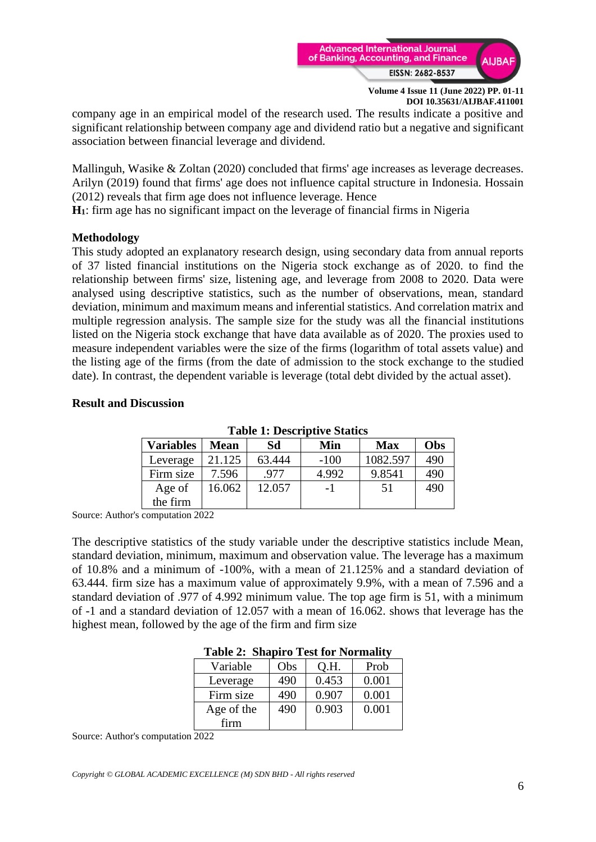

company age in an empirical model of the research used. The results indicate a positive and significant relationship between company age and dividend ratio but a negative and significant association between financial leverage and dividend.

Mallinguh, Wasike & Zoltan (2020) concluded that firms' age increases as leverage decreases. Arilyn (2019) found that firms' age does not influence capital structure in Indonesia. Hossain (2012) reveals that firm age does not influence leverage. Hence

**H1**: firm age has no significant impact on the leverage of financial firms in Nigeria

### **Methodology**

This study adopted an explanatory research design, using secondary data from annual reports of 37 listed financial institutions on the Nigeria stock exchange as of 2020. to find the relationship between firms' size, listening age, and leverage from 2008 to 2020. Data were analysed using descriptive statistics, such as the number of observations, mean, standard deviation, minimum and maximum means and inferential statistics. And correlation matrix and multiple regression analysis. The sample size for the study was all the financial institutions listed on the Nigeria stock exchange that have data available as of 2020. The proxies used to measure independent variables were the size of the firms (logarithm of total assets value) and the listing age of the firms (from the date of admission to the stock exchange to the studied date). In contrast, the dependent variable is leverage (total debt divided by the actual asset).

#### **Result and Discussion**

| Taon Ti Describu ve Odanes |             |        |        |            |     |
|----------------------------|-------------|--------|--------|------------|-----|
| <b>Variables</b>           | <b>Mean</b> | Sd     | Min    | <b>Max</b> | Obs |
| Leverage                   | 21.125      | 63.444 | $-100$ | 1082.597   | 490 |
| Firm size                  | 7.596       | .977   | 4.992  | 9.8541     | 490 |
| Age of                     | 16.062      | 12.057 | $-1$   | 51         | 490 |
| the firm                   |             |        |        |            |     |

**Table 1: Descriptive Statics**

Source: Author's computation 2022

The descriptive statistics of the study variable under the descriptive statistics include Mean, standard deviation, minimum, maximum and observation value. The leverage has a maximum of 10.8% and a minimum of -100%, with a mean of 21.125% and a standard deviation of 63.444. firm size has a maximum value of approximately 9.9%, with a mean of 7.596 and a standard deviation of .977 of 4.992 minimum value. The top age firm is 51, with a minimum of -1 and a standard deviation of 12.057 with a mean of 16.062. shows that leverage has the highest mean, followed by the age of the firm and firm size

| D          |     |       |       |  |  |
|------------|-----|-------|-------|--|--|
| Variable   | Obs | Q.H.  | Prob  |  |  |
| Leverage   | 490 | 0.453 | 0.001 |  |  |
| Firm size  | 490 | 0.907 | 0.001 |  |  |
| Age of the | 490 | 0.903 | 0.001 |  |  |
| firm       |     |       |       |  |  |

## **Table 2: Shapiro Test for Normality**

Source: Author's computation 2022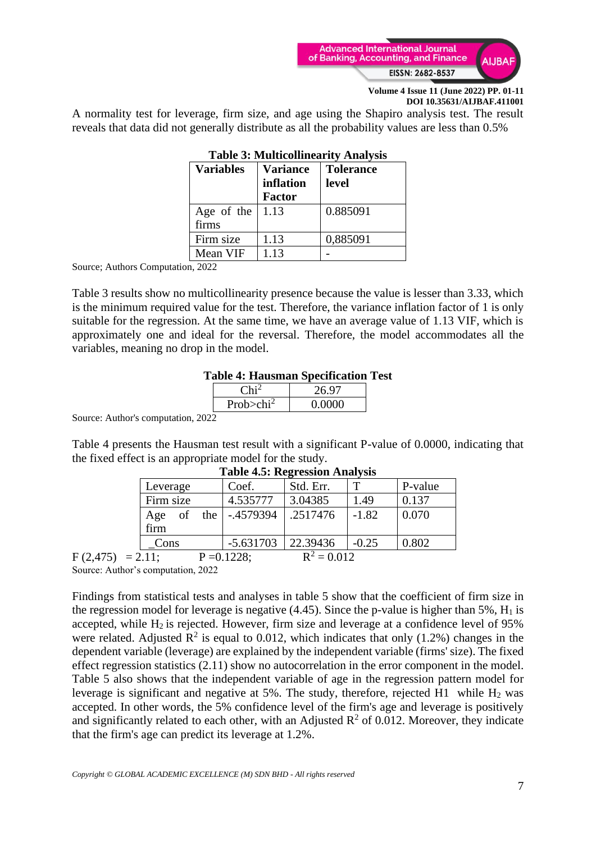

A normality test for leverage, firm size, and age using the Shapiro analysis test. The result reveals that data did not generally distribute as all the probability values are less than 0.5%

| <b>Variables</b>                 | <b>Variance</b><br>inflation<br><b>Factor</b> | <b>Tolerance</b><br>level |
|----------------------------------|-----------------------------------------------|---------------------------|
| Age of the<br>firms              | 1.13                                          | 0.885091                  |
| Firm size                        | 1.13                                          | 0,885091                  |
| Mean VIF<br>$\sim$ $\sim$ $\sim$ | 1.13                                          |                           |

# **Table 3: Multicollinearity Analysis**

Source; Authors Computation, 2022

Table 3 results show no multicollinearity presence because the value is lesser than 3.33, which is the minimum required value for the test. Therefore, the variance inflation factor of 1 is only suitable for the regression. At the same time, we have an average value of 1.13 VIF, which is approximately one and ideal for the reversal. Therefore, the model accommodates all the variables, meaning no drop in the model.

### **Table 4: Hausman Specification Test**

|                           | 26.97  |
|---------------------------|--------|
| Prob $>$ chi <sup>2</sup> | 0.0000 |
|                           |        |

Source: Author's computation, 2022

Table 4 presents the Hausman test result with a significant P-value of 0.0000, indicating that the fixed effect is an appropriate model for the study.

| $10010$ $1001$ $10001$ $11100$                                  |             |             |           |         |         |  |
|-----------------------------------------------------------------|-------------|-------------|-----------|---------|---------|--|
| Leverage                                                        |             | Coef.       | Std. Err. |         | P-value |  |
| Firm size                                                       |             | 4.535777    | 3.04385   | 1.49    | 0.137   |  |
| of<br>Age<br>firm                                               | the $\vert$ | -.4579394   | .2517476  | $-1.82$ | 0.070   |  |
| Cons                                                            |             | $-5.631703$ | 22.39436  | $-0.25$ | 0.802   |  |
| $\mathbf{r}^{\eta}$<br>0.012<br>$\sim$ 44<br>0.1000<br><u>n</u> |             |             |           |         |         |  |

#### **Table 4.5: Regression Analysis**

 $F (2.475) = 2.11;$   $P = 0.1228;$   $R^2 = 0.012$ Source: Author's computation, 2022

Findings from statistical tests and analyses in table 5 show that the coefficient of firm size in the regression model for leverage is negative  $(4.45)$ . Since the p-value is higher than 5%,  $H_1$  is accepted, while  $H_2$  is rejected. However, firm size and leverage at a confidence level of 95% were related. Adjusted  $\mathbb{R}^2$  is equal to 0.012, which indicates that only (1.2%) changes in the dependent variable (leverage) are explained by the independent variable (firms' size). The fixed effect regression statistics (2.11) show no autocorrelation in the error component in the model. Table 5 also shows that the independent variable of age in the regression pattern model for leverage is significant and negative at 5%. The study, therefore, rejected H1 while  $H_2$  was accepted. In other words, the 5% confidence level of the firm's age and leverage is positively and significantly related to each other, with an Adjusted  $\mathbb{R}^2$  of 0.012. Moreover, they indicate that the firm's age can predict its leverage at 1.2%.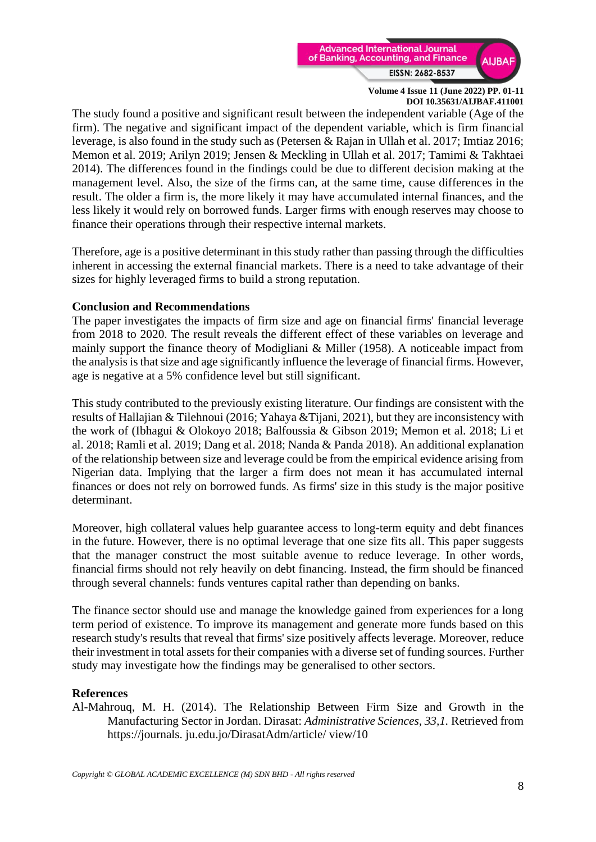

The study found a positive and significant result between the independent variable (Age of the firm). The negative and significant impact of the dependent variable, which is firm financial leverage, is also found in the study such as (Petersen & Rajan in Ullah et al. 2017; Imtiaz 2016; Memon et al. 2019; Arilyn 2019; Jensen & Meckling in Ullah et al. 2017; Tamimi & Takhtaei 2014). The differences found in the findings could be due to different decision making at the management level. Also, the size of the firms can, at the same time, cause differences in the result. The older a firm is, the more likely it may have accumulated internal finances, and the less likely it would rely on borrowed funds. Larger firms with enough reserves may choose to finance their operations through their respective internal markets.

Therefore, age is a positive determinant in this study rather than passing through the difficulties inherent in accessing the external financial markets. There is a need to take advantage of their sizes for highly leveraged firms to build a strong reputation.

#### **Conclusion and Recommendations**

The paper investigates the impacts of firm size and age on financial firms' financial leverage from 2018 to 2020. The result reveals the different effect of these variables on leverage and mainly support the finance theory of Modigliani & Miller (1958). A noticeable impact from the analysis is that size and age significantly influence the leverage of financial firms. However, age is negative at a 5% confidence level but still significant.

This study contributed to the previously existing literature. Our findings are consistent with the results of Hallajian & Tilehnoui (2016; Yahaya &Tijani, 2021), but they are inconsistency with the work of (Ibhagui & Olokoyo 2018; Balfoussia & Gibson 2019; Memon et al. 2018; Li et al. 2018; Ramli et al. 2019; Dang et al. 2018; Nanda & Panda 2018). An additional explanation of the relationship between size and leverage could be from the empirical evidence arising from Nigerian data. Implying that the larger a firm does not mean it has accumulated internal finances or does not rely on borrowed funds. As firms' size in this study is the major positive determinant.

Moreover, high collateral values help guarantee access to long-term equity and debt finances in the future. However, there is no optimal leverage that one size fits all. This paper suggests that the manager construct the most suitable avenue to reduce leverage. In other words, financial firms should not rely heavily on debt financing. Instead, the firm should be financed through several channels: funds ventures capital rather than depending on banks.

The finance sector should use and manage the knowledge gained from experiences for a long term period of existence. To improve its management and generate more funds based on this research study's results that reveal that firms' size positively affects leverage. Moreover, reduce their investment in total assets for their companies with a diverse set of funding sources. Further study may investigate how the findings may be generalised to other sectors.

## **References**

Al-Mahrouq, M. H. (2014). The Relationship Between Firm Size and Growth in the Manufacturing Sector in Jordan. Dirasat: *Administrative Sciences, 33,1.* Retrieved from https://journals. ju.edu.jo/DirasatAdm/article/ view/10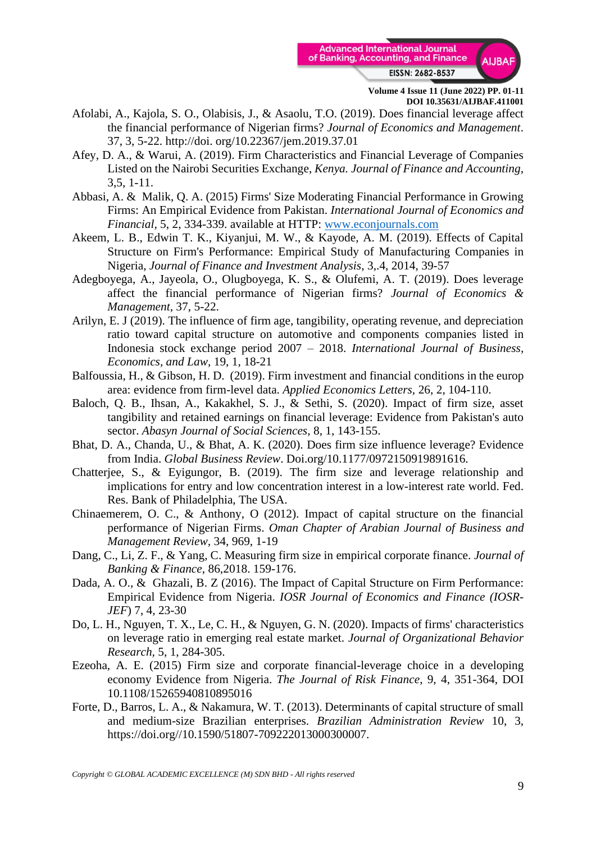

- Afolabi, A., Kajola, S. O., Olabisis, J., & Asaolu, T.O. (2019). Does financial leverage affect the financial performance of Nigerian firms? *Journal of Economics and Management*. 37, 3, 5-22. http://doi. org/10.22367/jem.2019.37.01
- Afey, D. A., & Warui, A. (2019). Firm Characteristics and Financial Leverage of Companies Listed on the Nairobi Securities Exchange, *Kenya. Journal of Finance and Accounting*, 3,5, 1-11.
- Abbasi, A. & Malik, Q. A. (2015) Firms' Size Moderating Financial Performance in Growing Firms: An Empirical Evidence from Pakistan. *International Journal of Economics and Financial,* 5, 2, 334-339. available at HTTP: [www.econjournals.com](http://www.econjournals.com/)
- Akeem, L. B., Edwin T. K., Kiyanjui, M. W., & Kayode, A. M. (2019). Effects of Capital Structure on Firm's Performance: Empirical Study of Manufacturing Companies in Nigeria, *Journal of Finance and Investment Analysis*, 3,.4, 2014, 39-57
- Adegboyega, A., Jayeola, O., Olugboyega, K. S., & Olufemi, A. T. (2019). Does leverage affect the financial performance of Nigerian firms? *Journal of Economics & Management*, 37, 5-22.
- Arilyn, E. J (2019). The influence of firm age, tangibility, operating revenue, and depreciation ratio toward capital structure on automotive and components companies listed in Indonesia stock exchange period 2007 – 2018. *International Journal of Business, Economics, and Law,* 19, 1, 18-21
- Balfoussia, H., & Gibson, H. D. (2019). Firm investment and financial conditions in the europ area: evidence from firm-level data. *Applied Economics Letters,* 26, 2, 104-110.
- Baloch, Q. B., Ihsan, A., Kakakhel, S. J., & Sethi, S. (2020). Impact of firm size, asset tangibility and retained earnings on financial leverage: Evidence from Pakistan's auto sector. *Abasyn Journal of Social Sciences,* 8, 1, 143-155.
- Bhat, D. A., Chanda, U., & Bhat, A. K. (2020). Does firm size influence leverage? Evidence from India. *Global Business Review*. Doi.org/10.1177/0972150919891616.
- Chatterjee, S., & Eyigungor, B. (2019). The firm size and leverage relationship and implications for entry and low concentration interest in a low-interest rate world. Fed. Res. Bank of Philadelphia, The USA.
- Chinaemerem, O. C., & Anthony, O (2012). Impact of capital structure on the financial performance of Nigerian Firms. *Oman Chapter of Arabian Journal of Business and Management Review,* 34, 969, 1-19
- Dang, C., Li, Z. F., & Yang, C. Measuring firm size in empirical corporate finance. *Journal of Banking & Finance*, 86,2018. 159-176.
- Dada, A. O., & Ghazali, B. Z (2016). The Impact of Capital Structure on Firm Performance: Empirical Evidence from Nigeria. *IOSR Journal of Economics and Finance (IOSR-JEF*) 7, 4, 23-30
- Do, L. H., Nguyen, T. X., Le, C. H., & Nguyen, G. N. (2020). Impacts of firms' characteristics on leverage ratio in emerging real estate market. *Journal of Organizational Behavior Research,* 5, 1, 284-305.
- Ezeoha, A. E. (2015) Firm size and corporate financial-leverage choice in a developing economy Evidence from Nigeria. *The Journal of Risk Finance*, 9, 4, 351-364, DOI 10.1108/15265940810895016
- Forte, D., Barros, L. A., & Nakamura, W. T. (2013). Determinants of capital structure of small and medium-size Brazilian enterprises. *Brazilian Administration Review* 10, 3, https://doi.org//10.1590/51807-709222013000300007.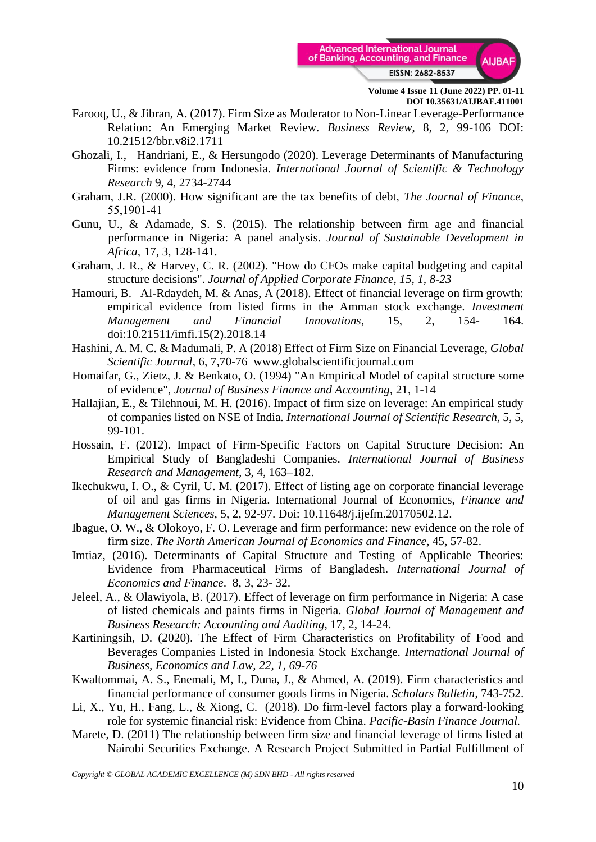

- Farooq, U., & Jibran, A. (2017). Firm Size as Moderator to Non-Linear Leverage-Performance Relation: An Emerging Market Review. *Business Review*, 8, 2, 99-106 DOI: 10.21512/bbr.v8i2.1711
- Ghozali, I., Handriani, E., & Hersungodo (2020). Leverage Determinants of Manufacturing Firms: evidence from Indonesia. *International Journal of Scientific & Technology Research* 9, 4, 2734-2744
- Graham, J.R. (2000). How significant are the tax benefits of debt, *The Journal of Finance*, 55,1901‐41
- Gunu, U., & Adamade, S. S. (2015). The relationship between firm age and financial performance in Nigeria: A panel analysis*. Journal of Sustainable Development in Africa,* 17, 3, 128-141.
- Graham, J. R., & Harvey, C. R. (2002). "How do CFOs make capital budgeting and capital structure decisions". *Journal of Applied Corporate Finance, 15, 1, 8-23*
- Hamouri, B. Al-Rdaydeh, M. & Anas, A (2018). Effect of financial leverage on firm growth: empirical evidence from listed firms in the Amman stock exchange. *Investment Management and Financial Innovations*, 15, 2, 154- 164. doi:10.21511/imfi.15(2).2018.14
- Hashini, A. M. C. & Madumali, P. A (2018) Effect of Firm Size on Financial Leverage, *Global Scientific Journal*, 6, 7,70-76 www.globalscientificjournal.com
- Homaifar, G., Zietz, J. & Benkato, O. (1994) "An Empirical Model of capital structure some of evidence", *Journal of Business Finance and Accounting,* 21, 1-14
- Hallajian, E., & Tilehnoui, M. H. (2016). Impact of firm size on leverage: An empirical study of companies listed on NSE of India*. International Journal of Scientific Research,* 5, 5, 99-101.
- Hossain, F. (2012). Impact of Firm-Specific Factors on Capital Structure Decision: An Empirical Study of Bangladeshi Companies. *International Journal of Business Research and Management,* 3, 4, 163–182.
- Ikechukwu, I. O., & Cyril, U. M. (2017). Effect of listing age on corporate financial leverage of oil and gas firms in Nigeria. International Journal of Economics, *Finance and Management Sciences*, 5, 2, 92-97. Doi: 10.11648/j.ijefm.20170502.12.
- Ibague, O. W., & Olokoyo, F. O. Leverage and firm performance: new evidence on the role of firm size. *The North American Journal of Economics and Finance*, 45, 57-82.
- Imtiaz, (2016). Determinants of Capital Structure and Testing of Applicable Theories: Evidence from Pharmaceutical Firms of Bangladesh. *International Journal of Economics and Finance*. 8, 3, 23- 32.
- Jeleel, A., & Olawiyola, B. (2017). Effect of leverage on firm performance in Nigeria: A case of listed chemicals and paints firms in Nigeria. *Global Journal of Management and Business Research: Accounting and Auditing*, 17, 2, 14-24.
- Kartiningsih, D. (2020). The Effect of Firm Characteristics on Profitability of Food and Beverages Companies Listed in Indonesia Stock Exchange*. International Journal of Business, Economics and Law, 22, 1, 69-76*
- Kwaltommai, A. S., Enemali, M, I., Duna, J., & Ahmed, A. (2019). Firm characteristics and financial performance of consumer goods firms in Nigeria. *Scholars Bulletin*, 743-752.
- Li, X., Yu, H., Fang, L., & Xiong, C. (2018). Do firm-level factors play a forward-looking role for systemic financial risk: Evidence from China. *Pacific-Basin Finance Journal.*
- Marete, D. (2011) The relationship between firm size and financial leverage of firms listed at Nairobi Securities Exchange. A Research Project Submitted in Partial Fulfillment of